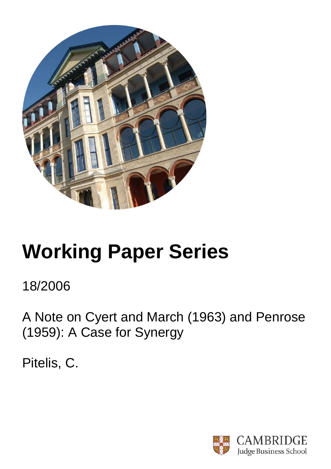

# **Working Paper Series**

18/2006

A Note on Cyert and March (1963) and Penrose (1959): A Case for Synergy

Pitelis, C.

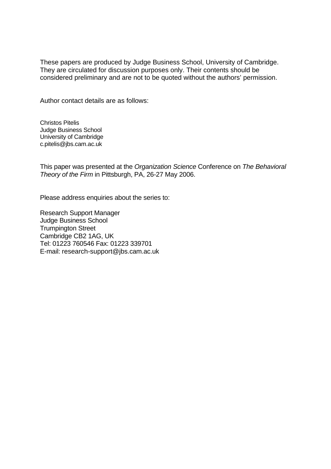These papers are produced by Judge Business School, University of Cambridge. They are circulated for discussion purposes only. Their contents should be considered preliminary and are not to be quoted without the authors' permission.

Author contact details are as follows:

Christos Pitelis Judge Business School University of Cambridge c.pitelis@jbs.cam.ac.uk

This paper was presented at the *Organization Science* Conference on *The Behavioral Theory of the Firm* in Pittsburgh, PA, 26-27 May 2006.

Please address enquiries about the series to:

Research Support Manager Judge Business School Trumpington Street Cambridge CB2 1AG, UK Tel: 01223 760546 Fax: 01223 339701 E-mail: research-support@jbs.cam.ac.uk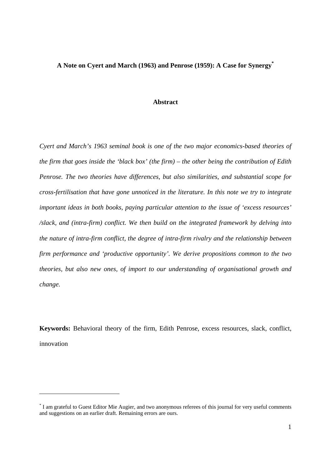## **A Note on Cyert and March (1963) and Penrose (1959): A Case for Synergy\***

#### **Abstract**

*Cyert and March's 1963 seminal book is one of the two major economics-based theories of the firm that goes inside the 'black box' (the firm) – the other being the contribution of Edith Penrose. The two theories have differences, but also similarities, and substantial scope for cross-fertilisation that have gone unnoticed in the literature. In this note we try to integrate important ideas in both books, paying particular attention to the issue of 'excess resources' /slack, and (intra-firm) conflict. We then build on the integrated framework by delving into the nature of intra-firm conflict, the degree of intra-firm rivalry and the relationship between firm performance and 'productive opportunity'. We derive propositions common to the two theories, but also new ones, of import to our understanding of organisational growth and change.*

**Keywords:** Behavioral theory of the firm, Edith Penrose, excess resources, slack, conflict, innovation

<sup>\*</sup> I am grateful to Guest Editor Mie Augier, and two anonymous referees of this journal for very useful comments and suggestions on an earlier draft. Remaining errors are ours.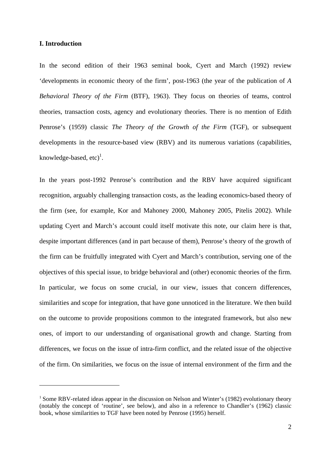#### **I. Introduction**

1

In the second edition of their 1963 seminal book, Cyert and March (1992) review 'developments in economic theory of the firm', post-1963 (the year of the publication of *A Behavioral Theory of the Firm* (BTF), 1963). They focus on theories of teams, control theories, transaction costs, agency and evolutionary theories. There is no mention of Edith Penrose's (1959) classic *The Theory of the Growth of the Firm* (TGF), or subsequent developments in the resource-based view (RBV) and its numerous variations (capabilities, knowledge-based,  $etc)^{1}$ .

In the years post-1992 Penrose's contribution and the RBV have acquired significant recognition, arguably challenging transaction costs, as the leading economics-based theory of the firm (see, for example, Kor and Mahoney 2000, Mahoney 2005, Pitelis 2002). While updating Cyert and March's account could itself motivate this note, our claim here is that, despite important differences (and in part because of them), Penrose's theory of the growth of the firm can be fruitfully integrated with Cyert and March's contribution, serving one of the objectives of this special issue, to bridge behavioral and (other) economic theories of the firm. In particular, we focus on some crucial, in our view, issues that concern differences, similarities and scope for integration, that have gone unnoticed in the literature. We then build on the outcome to provide propositions common to the integrated framework, but also new ones, of import to our understanding of organisational growth and change. Starting from differences, we focus on the issue of intra-firm conflict, and the related issue of the objective of the firm. On similarities, we focus on the issue of internal environment of the firm and the

<sup>&</sup>lt;sup>1</sup> Some RBV-related ideas appear in the discussion on Nelson and Winter's (1982) evolutionary theory (notably the concept of 'routine', see below), and also in a reference to Chandler's (1962) classic book, whose similarities to TGF have been noted by Penrose (1995) herself.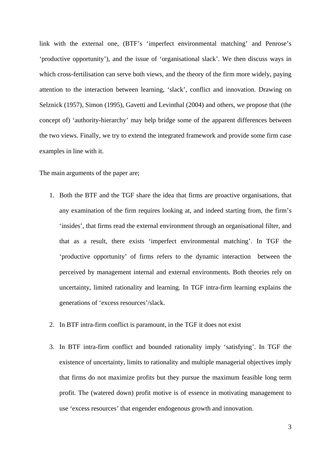link with the external one, (BTF's 'imperfect environmental matching' and Penrose's 'productive opportunity'), and the issue of 'organisational slack'. We then discuss ways in which cross-fertilisation can serve both views, and the theory of the firm more widely, paying attention to the interaction between learning, 'slack', conflict and innovation. Drawing on Selznick (1957), Simon (1995), Gavetti and Levinthal (2004) and others, we propose that (the concept of) 'authority-hierarchy' may help bridge some of the apparent differences between the two views. Finally, we try to extend the integrated framework and provide some firm case examples in line with it.

The main arguments of the paper are;

- 1. Both the BTF and the TGF share the idea that firms are proactive organisations, that any examination of the firm requires looking at, and indeed starting from, the firm's 'insides', that firms read the external environment through an organisational filter, and that as a result, there exists 'imperfect environmental matching'. In TGF the 'productive opportunity' of firms refers to the dynamic interaction between the perceived by management internal and external environments. Both theories rely on uncertainty, limited rationality and learning. In TGF intra-firm learning explains the generations of 'excess resources'/slack.
- 2. In BTF intra-firm conflict is paramount, in the TGF it does not exist
- 3. In BTF intra-firm conflict and bounded rationality imply 'satisfying'. In TGF the existence of uncertainty, limits to rationality and multiple managerial objectives imply that firms do not maximize profits but they pursue the maximum feasible long term profit. The (watered down) profit motive is of essence in motivating management to use 'excess resources' that engender endogenous growth and innovation.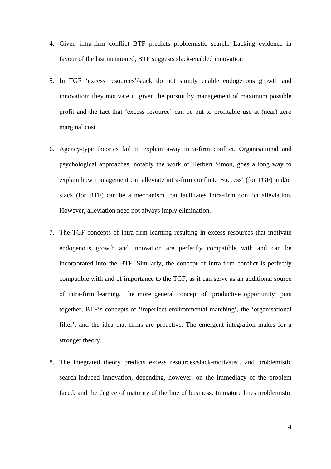- 4. Given intra-firm conflict BTF predicts problemistic search. Lacking evidence in favour of the last mentioned, BTF suggests slack-enabled innovation
- 5. In TGF 'excess resources'/slack do not simply enable endogenous growth and innovation; they motivate it, given the pursuit by management of maximum possible profit and the fact that 'excess resource' can be put to profitable use at (near) zero marginal cost.
- 6. Agency-type theories fail to explain away intra-firm conflict. Organisational and psychological approaches, notably the work of Herbert Simon, goes a long way to explain how management can alleviate intra-firm conflict. 'Success' (for TGF) and/or slack (for BTF) can be a mechanism that facilitates intra-firm conflict alleviation. However, alleviation need not always imply elimination.
- 7. The TGF concepts of intra-firm learning resulting in excess resources that motivate endogenous growth and innovation are perfectly compatible with and can be incorporated into the BTF. Similarly, the concept of intra-firm conflict is perfectly compatible with and of importance to the TGF, as it can serve as an additional source of intra-firm learning. The more general concept of 'productive opportunity' puts together, BTF's concepts of 'imperfect environmental matching', the 'organisational filter', and the idea that firms are proactive. The emergent integration makes for a stronger theory.
- 8. The integrated theory predicts excess resources/slack-motivated, and problemistic search-induced innovation, depending, however, on the immediacy of the problem faced, and the degree of maturity of the line of business. In mature lines problemistic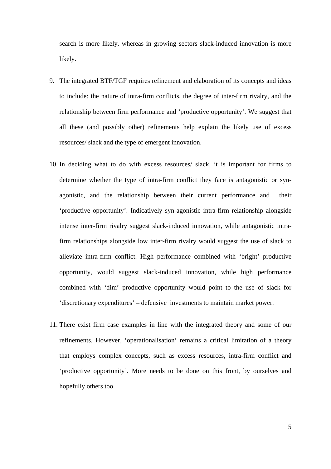search is more likely, whereas in growing sectors slack-induced innovation is more likely.

- 9. The integrated BTF/TGF requires refinement and elaboration of its concepts and ideas to include: the nature of intra-firm conflicts, the degree of inter-firm rivalry, and the relationship between firm performance and 'productive opportunity'. We suggest that all these (and possibly other) refinements help explain the likely use of excess resources/ slack and the type of emergent innovation.
- 10. In deciding what to do with excess resources/ slack, it is important for firms to determine whether the type of intra-firm conflict they face is antagonistic or synagonistic, and the relationship between their current performance and their 'productive opportunity'. Indicatively syn-agonistic intra-firm relationship alongside intense inter-firm rivalry suggest slack-induced innovation, while antagonistic intrafirm relationships alongside low inter-firm rivalry would suggest the use of slack to alleviate intra-firm conflict. High performance combined with 'bright' productive opportunity, would suggest slack-induced innovation, while high performance combined with 'dim' productive opportunity would point to the use of slack for 'discretionary expenditures' – defensive investments to maintain market power.
- 11. There exist firm case examples in line with the integrated theory and some of our refinements. However, 'operationalisation' remains a critical limitation of a theory that employs complex concepts, such as excess resources, intra-firm conflict and 'productive opportunity'. More needs to be done on this front, by ourselves and hopefully others too.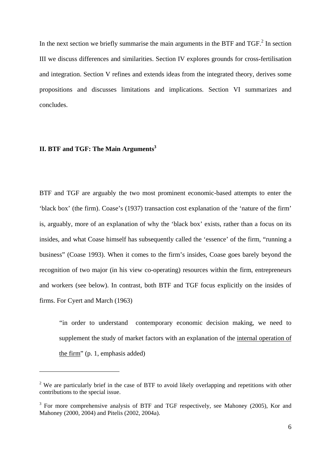In the next section we briefly summarise the main arguments in the BTF and  $TGF<sup>2</sup>$  In section III we discuss differences and similarities. Section IV explores grounds for cross-fertilisation and integration. Section V refines and extends ideas from the integrated theory, derives some propositions and discusses limitations and implications. Section VI summarizes and concludes.

## **II. BTF and TGF: The Main Arguments**<sup>3</sup>

1

BTF and TGF are arguably the two most prominent economic-based attempts to enter the 'black box' (the firm). Coase's (1937) transaction cost explanation of the 'nature of the firm' is, arguably, more of an explanation of why the 'black box' exists, rather than a focus on its insides, and what Coase himself has subsequently called the 'essence' of the firm, "running a business" (Coase 1993). When it comes to the firm's insides, Coase goes barely beyond the recognition of two major (in his view co-operating) resources within the firm, entrepreneurs and workers (see below). In contrast, both BTF and TGF focus explicitly on the insides of firms. For Cyert and March (1963)

 "in order to understand contemporary economic decision making, we need to supplement the study of market factors with an explanation of the internal operation of the firm" (p. 1, emphasis added)

 $2$  We are particularly brief in the case of BTF to avoid likely overlapping and repetitions with other contributions to the special issue.

<sup>&</sup>lt;sup>3</sup> For more comprehensive analysis of BTF and TGF respectively, see Mahoney (2005), Kor and Mahoney (2000, 2004) and Pitelis (2002, 2004a).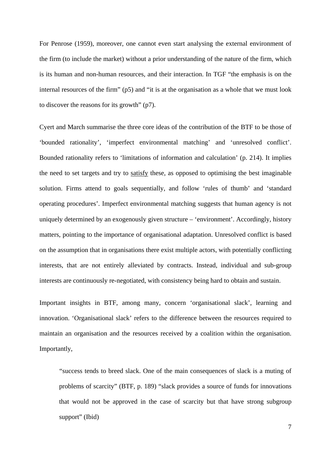For Penrose (1959), moreover, one cannot even start analysing the external environment of the firm (to include the market) without a prior understanding of the nature of the firm, which is its human and non-human resources, and their interaction. In TGF "the emphasis is on the internal resources of the firm" (p5) and "it is at the organisation as a whole that we must look to discover the reasons for its growth" (p7).

Cyert and March summarise the three core ideas of the contribution of the BTF to be those of 'bounded rationality', 'imperfect environmental matching' and 'unresolved conflict'. Bounded rationality refers to 'limitations of information and calculation' (p. 214). It implies the need to set targets and try to satisfy these, as opposed to optimising the best imaginable solution. Firms attend to goals sequentially, and follow 'rules of thumb' and 'standard operating procedures'. Imperfect environmental matching suggests that human agency is not uniquely determined by an exogenously given structure – 'environment'. Accordingly, history matters, pointing to the importance of organisational adaptation. Unresolved conflict is based on the assumption that in organisations there exist multiple actors, with potentially conflicting interests, that are not entirely alleviated by contracts. Instead, individual and sub-group interests are continuously re-negotiated, with consistency being hard to obtain and sustain.

Important insights in BTF, among many, concern 'organisational slack', learning and innovation. 'Organisational slack' refers to the difference between the resources required to maintain an organisation and the resources received by a coalition within the organisation. Importantly,

"success tends to breed slack. One of the main consequences of slack is a muting of problems of scarcity" (BTF, p. 189) "slack provides a source of funds for innovations that would not be approved in the case of scarcity but that have strong subgroup support" (Ibid)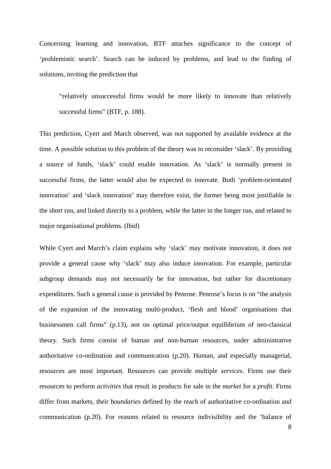Concerning learning and innovation, BTF attaches significance to the concept of 'problemistic search'. Search can be induced by problems, and lead to the finding of solutions, inviting the prediction that

 "relatively unsuccessful firms would be more likely to innovate than relatively successful firms" (BTF, p. 188).

This prediction, Cyert and March observed, was not supported by available evidence at the time. A possible solution to this problem of the theory was to reconsider 'slack'. By providing a source of funds, 'slack' could enable innovation. As 'slack' is normally present in successful firms, the latter would also be expected to innovate. Both 'problem-orientated innovation' and 'slack innovation' may therefore exist, the former being most justifiable in the short run, and linked directly to a problem, while the latter in the longer run, and related to major organisational problems. (Ibid)

While Cyert and March's claim explains why 'slack' may motivate innovation, it does not provide a general cause why 'slack' may also induce innovation. For example, particular subgroup demands may not necessarily be for innovation, but rather for discretionary expenditures. Such a general cause is provided by Penrose. Penrose's focus is on "the analysis of the expansion of the innovating multi-product, 'flesh and blood' organisations that businessmen call firms" (p.13), not on optimal price/output equillibrium of neo-classical theory. Such firms consist of human and non-human resources, under administrative authoritative co-ordination and communication (p.20). Human, and especially managerial, resources are most important. Resources can provide multiple *services*. Firms use their resources to perform *activities* that result in products for sale in the *market* for a *profit*. Firms differ from markets, their *boundaries* defined by the reach of authoritative co-ordination and communication (p.20). For reasons related to resource indivisibility and the 'balance of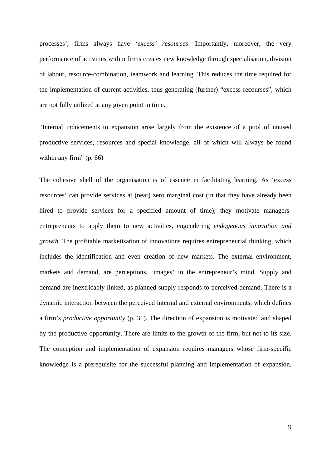processes', firms always have *'excess' resources*. Importantly, moreover, the very performance of activities within firms creates new knowledge through specialisation, division of labour, resource-combination, teamwork and learning. This reduces the time required for the implementation of current activities, thus generating (further) "excess recourses", which are not fully utilized at any given point in time.

"Internal inducements to expansion arise largely from the existence of a pool of unused productive services, resources and special knowledge, all of which will always be found within any firm" (p. 66)

The cohesive shell of the organisation is of essence in facilitating learning. As 'excess resources' can provide services at (near) zero marginal cost (in that they have already been hired to provide services for a specified amount of time), they motivate managersentrepreneurs to apply them to new activities, engendering *endogenous innovation and growth*. The profitable marketisation of innovations requires entrepreneurial thinking, which includes the identification and even creation of new markets. The external environment, markets and demand, are perceptions, 'images' in the entrepreneur's mind. Supply and demand are inextricably linked, as planned supply responds to perceived demand. There is a dynamic interaction between the perceived internal and external environments, which defines a firm's *productive opportunity* (p. 31). The direction of expansion is motivated and shaped by the productive opportunity. There are limits to the growth of the firm, but not to its size. The conception and implementation of expansion requires managers whose firm-specific knowledge is a prerequisite for the successful planning and implementation of expansion,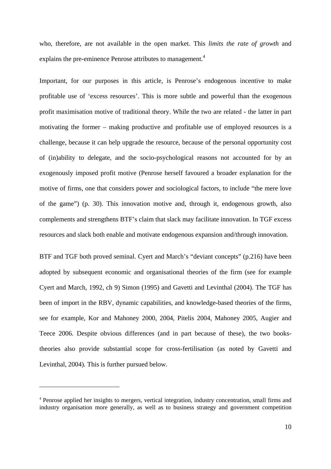who, therefore, are not available in the open market. This *limits the rate of growth* and explains the pre-eminence Penrose attributes to management.<sup>4</sup>

Important, for our purposes in this article, is Penrose's endogenous incentive to make profitable use of 'excess resources'. This is more subtle and powerful than the exogenous profit maximisation motive of traditional theory. While the two are related - the latter in part motivating the former – making productive and profitable use of employed resources is a challenge, because it can help upgrade the resource, because of the personal opportunity cost of (in)ability to delegate, and the socio-psychological reasons not accounted for by an exogenously imposed profit motive (Penrose herself favoured a broader explanation for the motive of firms, one that considers power and sociological factors, to include "the mere love of the game") (p. 30). This innovation motive and, through it, endogenous growth, also complements and strengthens BTF's claim that slack may facilitate innovation. In TGF excess resources and slack both enable and motivate endogenous expansion and/through innovation.

BTF and TGF both proved seminal. Cyert and March's "deviant concepts" (p.216) have been adopted by subsequent economic and organisational theories of the firm (see for example Cyert and March, 1992, ch 9) Simon (1995) and Gavetti and Levinthal (2004). The TGF has been of import in the RBV, dynamic capabilities, and knowledge-based theories of the firms, see for example, Kor and Mahoney 2000, 2004, Pitelis 2004, Mahoney 2005, Augier and Teece 2006. Despite obvious differences (and in part because of these), the two bookstheories also provide substantial scope for cross-fertilisation (as noted by Gavetti and Levinthal, 2004). This is further pursued below.

<sup>4</sup> Penrose applied her insights to mergers, vertical integration, industry concentration, small firms and industry organisation more generally, as well as to business strategy and government competition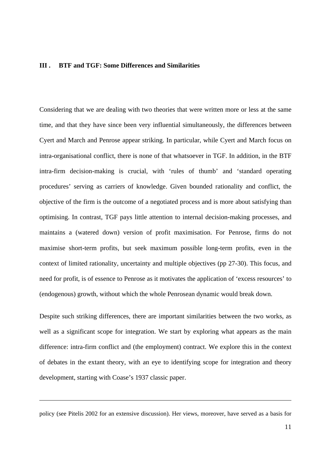### **III . BTF and TGF: Some Differences and Similarities**

Considering that we are dealing with two theories that were written more or less at the same time, and that they have since been very influential simultaneously, the differences between Cyert and March and Penrose appear striking. In particular, while Cyert and March focus on intra-organisational conflict, there is none of that whatsoever in TGF. In addition, in the BTF intra-firm decision-making is crucial, with 'rules of thumb' and 'standard operating procedures' serving as carriers of knowledge. Given bounded rationality and conflict, the objective of the firm is the outcome of a negotiated process and is more about satisfying than optimising. In contrast, TGF pays little attention to internal decision-making processes, and maintains a (watered down) version of profit maximisation. For Penrose, firms do not maximise short-term profits, but seek maximum possible long-term profits, even in the context of limited rationality, uncertainty and multiple objectives (pp 27-30). This focus, and need for profit, is of essence to Penrose as it motivates the application of 'excess resources' to (endogenous) growth, without which the whole Penrosean dynamic would break down.

Despite such striking differences, there are important similarities between the two works, as well as a significant scope for integration. We start by exploring what appears as the main difference: intra-firm conflict and (the employment) contract. We explore this in the context of debates in the extant theory, with an eye to identifying scope for integration and theory development, starting with Coase's 1937 classic paper.

policy (see Pitelis 2002 for an extensive discussion). Her views, moreover, have served as a basis for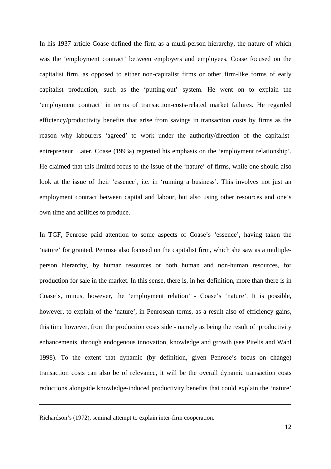In his 1937 article Coase defined the firm as a multi-person hierarchy, the nature of which was the 'employment contract' between employers and employees. Coase focused on the capitalist firm, as opposed to either non-capitalist firms or other firm-like forms of early capitalist production, such as the 'putting-out' system. He went on to explain the 'employment contract' in terms of transaction-costs-related market failures. He regarded efficiency/productivity benefits that arise from savings in transaction costs by firms as the reason why labourers 'agreed' to work under the authority/direction of the capitalistentrepreneur. Later, Coase (1993a) regretted his emphasis on the 'employment relationship'. He claimed that this limited focus to the issue of the 'nature' of firms, while one should also look at the issue of their 'essence', i.e. in 'running a business'. This involves not just an employment contract between capital and labour, but also using other resources and one's own time and abilities to produce.

In TGF, Penrose paid attention to some aspects of Coase's 'essence', having taken the 'nature' for granted. Penrose also focused on the capitalist firm, which she saw as a multipleperson hierarchy, by human resources or both human and non-human resources, for production for sale in the market. In this sense, there is, in her definition, more than there is in Coase's, minus, however, the 'employment relation' - Coase's 'nature'. It is possible, however, to explain of the 'nature', in Penrosean terms, as a result also of efficiency gains, this time however, from the production costs side - namely as being the result of productivity enhancements, through endogenous innovation, knowledge and growth (see Pitelis and Wahl 1998). To the extent that dynamic (by definition, given Penrose's focus on change) transaction costs can also be of relevance, it will be the overall dynamic transaction costs reductions alongside knowledge-induced productivity benefits that could explain the 'nature'

<u>.</u>

Richardson's (1972), seminal attempt to explain inter-firm cooperation.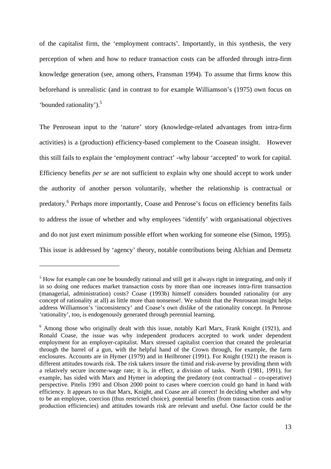of the capitalist firm, the 'employment contracts'. Importantly, in this synthesis, the very perception of when and how to reduce transaction costs can be afforded through intra-firm knowledge generation (see, among others, Fransman 1994). To assume that firms know this beforehand is unrealistic (and in contrast to for example Williamson's (1975) own focus on 'bounded rationality').<sup>5</sup>

The Penrosean input to the 'nature' story (knowledge-related advantages from intra-firm activities) is a (production) efficiency-based complement to the Coasean insight. However this still fails to explain the 'employment contract' -why labour 'accepted' to work for capital. Efficiency benefits *per se* are not sufficient to explain why one should accept to work under the authority of another person voluntarily, whether the relationship is contractual or predatory.<sup>6</sup> Perhaps more importantly, Coase and Penrose's focus on efficiency benefits fails to address the issue of whether and why employees 'identify' with organisational objectives and do not just exert minimum possible effort when working for someone else (Simon, 1995). This issue is addressed by 'agency' theory, notable contributions being Alchian and Demsetz

 $<sup>5</sup>$  How for example can one be boundedly rational and still get it always right in integrating, and only if</sup> in so doing one reduces market transaction costs by more than one increases intra-firm transaction (managerial, administration) costs? Coase (1993b) himself considers bounded rationality (or any concept of rationality at all) as little more than nonsense!. We submit that the Penrosean insight helps address Williamson's 'inconsistency' and Coase's own dislike of the rationality concept. In Penrose 'rationality', too, is endogenously generated through perennial learning.

<sup>&</sup>lt;sup>6</sup> Among those who originally dealt with this issue, notably Karl Marx, Frank Knight (1921), and Ronald Coase, the issue was why independent producers accepted to work under dependent employment for an employer-capitalist. Marx stressed capitalist coercion that created the proletariat through the barrel of a gun, with the helpful hand of the Crown through, for example, the farm enclosures. Accounts are in Hymer (1979) and in Heilbroner (1991). For Knight (1921) the reason is different attitudes towards risk. The risk takers insure the timid and risk-averse by providing them with a relatively secure income-wage rate; it is, in effect, a division of tasks. North (1981, 1991), for example, has sided with Marx and Hymer in adopting the predatory (not contractual – co-operative) perspective. Pitelis 1991 and Olson 2000 point to cases where coercion could go hand in hand with efficiency. It appears to us that Marx, Knight, and Coase are all correct! In deciding whether and why to be an employee, coercion (thus restricted choice), potential benefits (from transaction costs and/or production efficiencies) and attitudes towards risk are relevant and useful. One factor could be the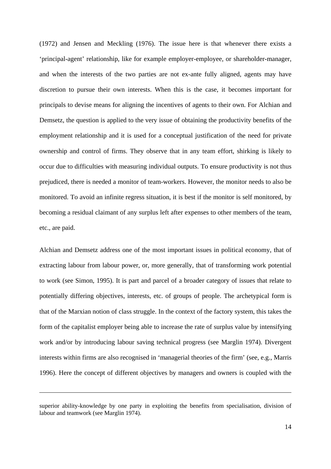(1972) and Jensen and Meckling (1976). The issue here is that whenever there exists a 'principal-agent' relationship, like for example employer-employee, or shareholder-manager, and when the interests of the two parties are not ex-ante fully aligned, agents may have discretion to pursue their own interests. When this is the case, it becomes important for principals to devise means for aligning the incentives of agents to their own. For Alchian and Demsetz, the question is applied to the very issue of obtaining the productivity benefits of the employment relationship and it is used for a conceptual justification of the need for private ownership and control of firms. They observe that in any team effort, shirking is likely to occur due to difficulties with measuring individual outputs. To ensure productivity is not thus prejudiced, there is needed a monitor of team-workers. However, the monitor needs to also be monitored. To avoid an infinite regress situation, it is best if the monitor is self monitored, by becoming a residual claimant of any surplus left after expenses to other members of the team, etc., are paid.

Alchian and Demsetz address one of the most important issues in political economy, that of extracting labour from labour power, or, more generally, that of transforming work potential to work (see Simon, 1995). It is part and parcel of a broader category of issues that relate to potentially differing objectives, interests, etc. of groups of people. The archetypical form is that of the Marxian notion of class struggle. In the context of the factory system, this takes the form of the capitalist employer being able to increase the rate of surplus value by intensifying work and/or by introducing labour saving technical progress (see Marglin 1974). Divergent interests within firms are also recognised in 'managerial theories of the firm' (see, e.g., Marris 1996). Here the concept of different objectives by managers and owners is coupled with the

superior ability-knowledge by one party in exploiting the benefits from specialisation, division of labour and teamwork (see Marglin 1974).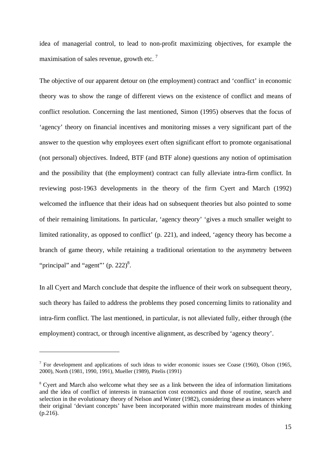idea of managerial control, to lead to non-profit maximizing objectives, for example the maximisation of sales revenue, growth etc.<sup>7</sup>

The objective of our apparent detour on (the employment) contract and 'conflict' in economic theory was to show the range of different views on the existence of conflict and means of conflict resolution. Concerning the last mentioned, Simon (1995) observes that the focus of 'agency' theory on financial incentives and monitoring misses a very significant part of the answer to the question why employees exert often significant effort to promote organisational (not personal) objectives. Indeed, BTF (and BTF alone) questions any notion of optimisation and the possibility that (the employment) contract can fully alleviate intra-firm conflict. In reviewing post-1963 developments in the theory of the firm Cyert and March (1992) welcomed the influence that their ideas had on subsequent theories but also pointed to some of their remaining limitations. In particular, 'agency theory' 'gives a much smaller weight to limited rationality, as opposed to conflict' (p. 221), and indeed, 'agency theory has become a branch of game theory, while retaining a traditional orientation to the asymmetry between "principal" and "agent"  $(p. 222)^8$ .

In all Cyert and March conclude that despite the influence of their work on subsequent theory, such theory has failed to address the problems they posed concerning limits to rationality and intra-firm conflict. The last mentioned, in particular, is not alleviated fully, either through (the employment) contract, or through incentive alignment, as described by 'agency theory'.

<sup>&</sup>lt;sup>7</sup> For development and applications of such ideas to wider economic issues see Coase (1960), Olson (1965, 2000), North (1981, 1990, 1991), Mueller (1989), Pitelis (1991)

<sup>&</sup>lt;sup>8</sup> Cyert and March also welcome what they see as a link between the idea of information limitations and the idea of conflict of interests in transaction cost economics and those of routine, search and selection in the evolutionary theory of Nelson and Winter (1982), considering these as instances where their original 'deviant concepts' have been incorporated within more mainstream modes of thinking (p.216).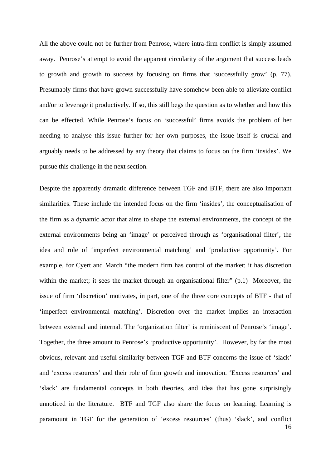All the above could not be further from Penrose, where intra-firm conflict is simply assumed away. Penrose's attempt to avoid the apparent circularity of the argument that success leads to growth and growth to success by focusing on firms that 'successfully grow' (p. 77). Presumably firms that have grown successfully have somehow been able to alleviate conflict and/or to leverage it productively. If so, this still begs the question as to whether and how this can be effected. While Penrose's focus on 'successful' firms avoids the problem of her needing to analyse this issue further for her own purposes, the issue itself is crucial and arguably needs to be addressed by any theory that claims to focus on the firm 'insides'. We pursue this challenge in the next section.

16 Despite the apparently dramatic difference between TGF and BTF, there are also important similarities. These include the intended focus on the firm 'insides', the conceptualisation of the firm as a dynamic actor that aims to shape the external environments, the concept of the external environments being an 'image' or perceived through as 'organisational filter', the idea and role of 'imperfect environmental matching' and 'productive opportunity'. For example, for Cyert and March "the modern firm has control of the market; it has discretion within the market; it sees the market through an organisational filter" (p.1) Moreover, the issue of firm 'discretion' motivates, in part, one of the three core concepts of BTF - that of 'imperfect environmental matching'. Discretion over the market implies an interaction between external and internal. The 'organization filter' is reminiscent of Penrose's 'image'. Together, the three amount to Penrose's 'productive opportunity'. However, by far the most obvious, relevant and useful similarity between TGF and BTF concerns the issue of 'slack' and 'excess resources' and their role of firm growth and innovation. 'Excess resources' and 'slack' are fundamental concepts in both theories, and idea that has gone surprisingly unnoticed in the literature. BTF and TGF also share the focus on learning. Learning is paramount in TGF for the generation of 'excess resources' (thus) 'slack', and conflict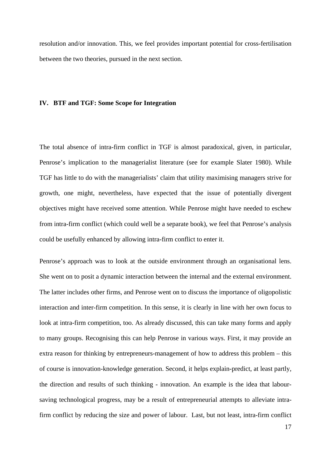resolution and/or innovation. This, we feel provides important potential for cross-fertilisation between the two theories, pursued in the next section.

#### **IV. BTF and TGF: Some Scope for Integration**

The total absence of intra-firm conflict in TGF is almost paradoxical, given, in particular, Penrose's implication to the managerialist literature (see for example Slater 1980). While TGF has little to do with the managerialists' claim that utility maximising managers strive for growth, one might, nevertheless, have expected that the issue of potentially divergent objectives might have received some attention. While Penrose might have needed to eschew from intra-firm conflict (which could well be a separate book), we feel that Penrose's analysis could be usefully enhanced by allowing intra-firm conflict to enter it.

Penrose's approach was to look at the outside environment through an organisational lens. She went on to posit a dynamic interaction between the internal and the external environment. The latter includes other firms, and Penrose went on to discuss the importance of oligopolistic interaction and inter-firm competition. In this sense, it is clearly in line with her own focus to look at intra-firm competition, too. As already discussed, this can take many forms and apply to many groups. Recognising this can help Penrose in various ways. First, it may provide an extra reason for thinking by entrepreneurs-management of how to address this problem – this of course is innovation-knowledge generation. Second, it helps explain-predict, at least partly, the direction and results of such thinking - innovation. An example is the idea that laboursaving technological progress, may be a result of entrepreneurial attempts to alleviate intrafirm conflict by reducing the size and power of labour. Last, but not least, intra-firm conflict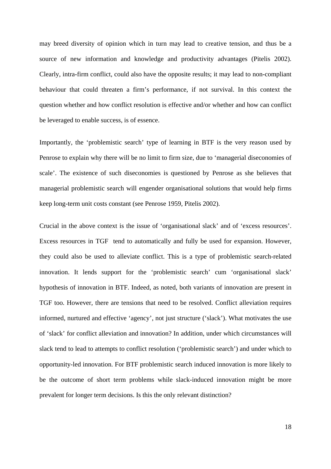may breed diversity of opinion which in turn may lead to creative tension, and thus be a source of new information and knowledge and productivity advantages (Pitelis 2002). Clearly, intra-firm conflict, could also have the opposite results; it may lead to non-compliant behaviour that could threaten a firm's performance, if not survival. In this context the question whether and how conflict resolution is effective and/or whether and how can conflict be leveraged to enable success, is of essence.

Importantly, the 'problemistic search' type of learning in BTF is the very reason used by Penrose to explain why there will be no limit to firm size, due to 'managerial diseconomies of scale'. The existence of such diseconomies is questioned by Penrose as she believes that managerial problemistic search will engender organisational solutions that would help firms keep long-term unit costs constant (see Penrose 1959, Pitelis 2002).

Crucial in the above context is the issue of 'organisational slack' and of 'excess resources'. Excess resources in TGF tend to automatically and fully be used for expansion. However, they could also be used to alleviate conflict. This is a type of problemistic search-related innovation. It lends support for the 'problemistic search' cum 'organisational slack' hypothesis of innovation in BTF. Indeed, as noted, both variants of innovation are present in TGF too. However, there are tensions that need to be resolved. Conflict alleviation requires informed, nurtured and effective 'agency', not just structure ('slack'). What motivates the use of 'slack' for conflict alleviation and innovation? In addition, under which circumstances will slack tend to lead to attempts to conflict resolution ('problemistic search') and under which to opportunity-led innovation. For BTF problemistic search induced innovation is more likely to be the outcome of short term problems while slack-induced innovation might be more prevalent for longer term decisions. Is this the only relevant distinction?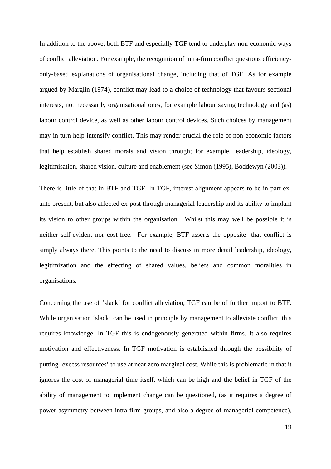In addition to the above, both BTF and especially TGF tend to underplay non-economic ways of conflict alleviation. For example, the recognition of intra-firm conflict questions efficiencyonly-based explanations of organisational change, including that of TGF. As for example argued by Marglin (1974), conflict may lead to a choice of technology that favours sectional interests, not necessarily organisational ones, for example labour saving technology and (as) labour control device, as well as other labour control devices. Such choices by management may in turn help intensify conflict. This may render crucial the role of non-economic factors that help establish shared morals and vision through; for example, leadership, ideology, legitimisation, shared vision, culture and enablement (see Simon (1995), Boddewyn (2003)).

There is little of that in BTF and TGF. In TGF, interest alignment appears to be in part exante present, but also affected ex-post through managerial leadership and its ability to implant its vision to other groups within the organisation. Whilst this may well be possible it is neither self-evident nor cost-free. For example, BTF asserts the opposite- that conflict is simply always there. This points to the need to discuss in more detail leadership, ideology, legitimization and the effecting of shared values, beliefs and common moralities in organisations.

Concerning the use of 'slack' for conflict alleviation, TGF can be of further import to BTF. While organisation 'slack' can be used in principle by management to alleviate conflict, this requires knowledge. In TGF this is endogenously generated within firms. It also requires motivation and effectiveness. In TGF motivation is established through the possibility of putting 'excess resources' to use at near zero marginal cost. While this is problematic in that it ignores the cost of managerial time itself, which can be high and the belief in TGF of the ability of management to implement change can be questioned, (as it requires a degree of power asymmetry between intra-firm groups, and also a degree of managerial competence),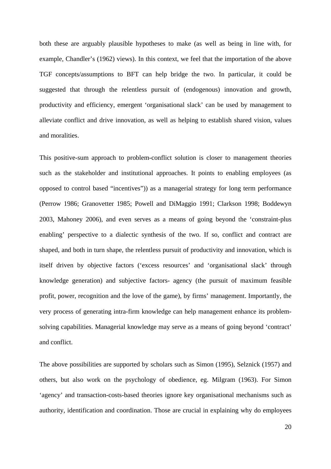both these are arguably plausible hypotheses to make (as well as being in line with, for example, Chandler's (1962) views). In this context, we feel that the importation of the above TGF concepts/assumptions to BFT can help bridge the two. In particular, it could be suggested that through the relentless pursuit of (endogenous) innovation and growth, productivity and efficiency, emergent 'organisational slack' can be used by management to alleviate conflict and drive innovation, as well as helping to establish shared vision, values and moralities.

This positive-sum approach to problem-conflict solution is closer to management theories such as the stakeholder and institutional approaches. It points to enabling employees (as opposed to control based "incentives")) as a managerial strategy for long term performance (Perrow 1986; Granovetter 1985; Powell and DiMaggio 1991; Clarkson 1998; Boddewyn 2003, Mahoney 2006), and even serves as a means of going beyond the 'constraint-plus enabling' perspective to a dialectic synthesis of the two. If so, conflict and contract are shaped, and both in turn shape, the relentless pursuit of productivity and innovation, which is itself driven by objective factors ('excess resources' and 'organisational slack' through knowledge generation) and subjective factors- agency (the pursuit of maximum feasible profit, power, recognition and the love of the game), by firms' management. Importantly, the very process of generating intra-firm knowledge can help management enhance its problemsolving capabilities. Managerial knowledge may serve as a means of going beyond 'contract' and conflict.

The above possibilities are supported by scholars such as Simon (1995), Selznick (1957) and others, but also work on the psychology of obedience, eg. Milgram (1963). For Simon 'agency' and transaction-costs-based theories ignore key organisational mechanisms such as authority, identification and coordination. Those are crucial in explaining why do employees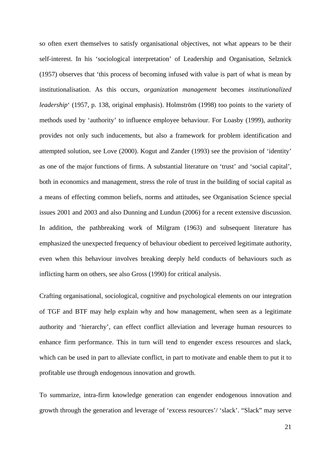so often exert themselves to satisfy organisational objectives, not what appears to be their self-interest. In his 'sociological interpretation' of Leadership and Organisation, Selznick (1957) observes that 'this process of becoming infused with value is part of what is mean by institutionalisation. As this occurs, *organization management* becomes *institutionalized leadership*' (1957, p. 138, original emphasis). Holmström (1998) too points to the variety of methods used by 'authority' to influence employee behaviour. For Loasby (1999), authority provides not only such inducements, but also a framework for problem identification and attempted solution, see Love (2000). Kogut and Zander (1993) see the provision of 'identity' as one of the major functions of firms. A substantial literature on 'trust' and 'social capital', both in economics and management, stress the role of trust in the building of social capital as a means of effecting common beliefs, norms and attitudes, see Organisation Science special issues 2001 and 2003 and also Dunning and Lundun (2006) for a recent extensive discussion. In addition, the pathbreaking work of Milgram (1963) and subsequent literature has emphasized the unexpected frequency of behaviour obedient to perceived legitimate authority, even when this behaviour involves breaking deeply held conducts of behaviours such as inflicting harm on others, see also Gross (1990) for critical analysis.

Crafting organisational, sociological, cognitive and psychological elements on our integration of TGF and BTF may help explain why and how management, when seen as a legitimate authority and 'hierarchy', can effect conflict alleviation and leverage human resources to enhance firm performance. This in turn will tend to engender excess resources and slack, which can be used in part to alleviate conflict, in part to motivate and enable them to put it to profitable use through endogenous innovation and growth.

To summarize, intra-firm knowledge generation can engender endogenous innovation and growth through the generation and leverage of 'excess resources'/ 'slack'. "Slack" may serve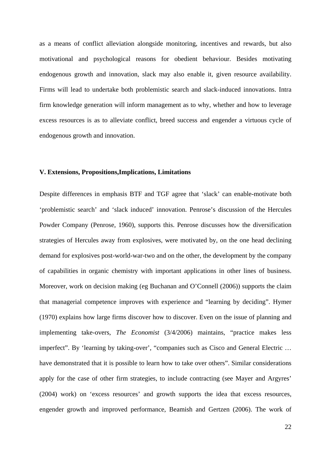as a means of conflict alleviation alongside monitoring, incentives and rewards, but also motivational and psychological reasons for obedient behaviour. Besides motivating endogenous growth and innovation, slack may also enable it, given resource availability. Firms will lead to undertake both problemistic search and slack-induced innovations. Intra firm knowledge generation will inform management as to why, whether and how to leverage excess resources is as to alleviate conflict, breed success and engender a virtuous cycle of endogenous growth and innovation.

#### **V. Extensions, Propositions,Implications, Limitations**

Despite differences in emphasis BTF and TGF agree that 'slack' can enable-motivate both 'problemistic search' and 'slack induced' innovation. Penrose's discussion of the Hercules Powder Company (Penrose, 1960), supports this. Penrose discusses how the diversification strategies of Hercules away from explosives, were motivated by, on the one head declining demand for explosives post-world-war-two and on the other, the development by the company of capabilities in organic chemistry with important applications in other lines of business. Moreover, work on decision making (eg Buchanan and O'Connell (2006)) supports the claim that managerial competence improves with experience and "learning by deciding". Hymer (1970) explains how large firms discover how to discover. Even on the issue of planning and implementing take-overs, *The Economist* (3/4/2006) maintains, "practice makes less imperfect". By 'learning by taking-over', "companies such as Cisco and General Electric … have demonstrated that it is possible to learn how to take over others". Similar considerations apply for the case of other firm strategies, to include contracting (see Mayer and Argyres' (2004) work) on 'excess resources' and growth supports the idea that excess resources, engender growth and improved performance, Beamish and Gertzen (2006). The work of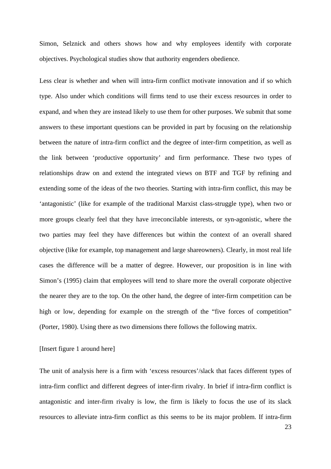Simon, Selznick and others shows how and why employees identify with corporate objectives. Psychological studies show that authority engenders obedience.

Less clear is whether and when will intra-firm conflict motivate innovation and if so which type. Also under which conditions will firms tend to use their excess resources in order to expand, and when they are instead likely to use them for other purposes. We submit that some answers to these important questions can be provided in part by focusing on the relationship between the nature of intra-firm conflict and the degree of inter-firm competition, as well as the link between 'productive opportunity' and firm performance. These two types of relationships draw on and extend the integrated views on BTF and TGF by refining and extending some of the ideas of the two theories. Starting with intra-firm conflict, this may be 'antagonistic' (like for example of the traditional Marxist class-struggle type), when two or more groups clearly feel that they have irreconcilable interests, or syn-agonistic, where the two parties may feel they have differences but within the context of an overall shared objective (like for example, top management and large shareowners). Clearly, in most real life cases the difference will be a matter of degree. However, our proposition is in line with Simon's (1995) claim that employees will tend to share more the overall corporate objective the nearer they are to the top. On the other hand, the degree of inter-firm competition can be high or low, depending for example on the strength of the "five forces of competition" (Porter, 1980). Using there as two dimensions there follows the following matrix.

#### [Insert figure 1 around here]

The unit of analysis here is a firm with 'excess resources'/slack that faces different types of intra-firm conflict and different degrees of inter-firm rivalry. In brief if intra-firm conflict is antagonistic and inter-firm rivalry is low, the firm is likely to focus the use of its slack resources to alleviate intra-firm conflict as this seems to be its major problem. If intra-firm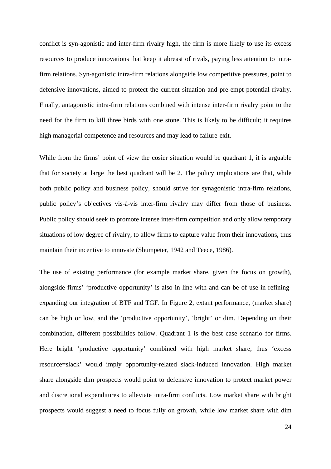conflict is syn-agonistic and inter-firm rivalry high, the firm is more likely to use its excess resources to produce innovations that keep it abreast of rivals, paying less attention to intrafirm relations. Syn-agonistic intra-firm relations alongside low competitive pressures, point to defensive innovations, aimed to protect the current situation and pre-empt potential rivalry. Finally, antagonistic intra-firm relations combined with intense inter-firm rivalry point to the need for the firm to kill three birds with one stone. This is likely to be difficult; it requires high managerial competence and resources and may lead to failure-exit.

While from the firms' point of view the cosier situation would be quadrant 1, it is arguable that for society at large the best quadrant will be 2. The policy implications are that, while both public policy and business policy, should strive for synagonistic intra-firm relations, public policy's objectives vis-à-vis inter-firm rivalry may differ from those of business. Public policy should seek to promote intense inter-firm competition and only allow temporary situations of low degree of rivalry, to allow firms to capture value from their innovations, thus maintain their incentive to innovate (Shumpeter, 1942 and Teece, 1986).

The use of existing performance (for example market share, given the focus on growth), alongside firms' 'productive opportunity' is also in line with and can be of use in refiningexpanding our integration of BTF and TGF. In Figure 2, extant performance, (market share) can be high or low, and the 'productive opportunity', 'bright' or dim. Depending on their combination, different possibilities follow. Quadrant 1 is the best case scenario for firms. Here bright 'productive opportunity' combined with high market share, thus 'excess resource=slack' would imply opportunity-related slack-induced innovation. High market share alongside dim prospects would point to defensive innovation to protect market power and discretional expenditures to alleviate intra-firm conflicts. Low market share with bright prospects would suggest a need to focus fully on growth, while low market share with dim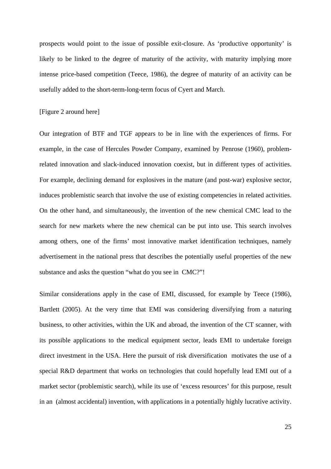prospects would point to the issue of possible exit-closure. As 'productive opportunity' is likely to be linked to the degree of maturity of the activity, with maturity implying more intense price-based competition (Teece, 1986), the degree of maturity of an activity can be usefully added to the short-term-long-term focus of Cyert and March.

#### [Figure 2 around here]

Our integration of BTF and TGF appears to be in line with the experiences of firms. For example, in the case of Hercules Powder Company, examined by Penrose (1960), problemrelated innovation and slack-induced innovation coexist, but in different types of activities. For example, declining demand for explosives in the mature (and post-war) explosive sector, induces problemistic search that involve the use of existing competencies in related activities. On the other hand, and simultaneously, the invention of the new chemical CMC lead to the search for new markets where the new chemical can be put into use. This search involves among others, one of the firms' most innovative market identification techniques, namely advertisement in the national press that describes the potentially useful properties of the new substance and asks the question "what do you see in CMC?"!

Similar considerations apply in the case of EMI, discussed, for example by Teece (1986), Bartlett (2005). At the very time that EMI was considering diversifying from a naturing business, to other activities, within the UK and abroad, the invention of the CT scanner, with its possible applications to the medical equipment sector, leads EMI to undertake foreign direct investment in the USA. Here the pursuit of risk diversification motivates the use of a special R&D department that works on technologies that could hopefully lead EMI out of a market sector (problemistic search), while its use of 'excess resources' for this purpose, result in an (almost accidental) invention, with applications in a potentially highly lucrative activity.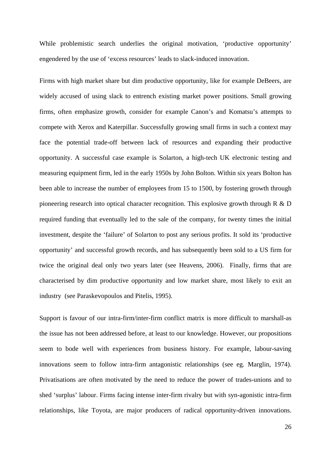While problemistic search underlies the original motivation, 'productive opportunity' engendered by the use of 'excess resources' leads to slack-induced innovation.

Firms with high market share but dim productive opportunity, like for example DeBeers, are widely accused of using slack to entrench existing market power positions. Small growing firms, often emphasize growth, consider for example Canon's and Komatsu's attempts to compete with Xerox and Katerpillar. Successfully growing small firms in such a context may face the potential trade-off between lack of resources and expanding their productive opportunity. A successful case example is Solarton, a high-tech UK electronic testing and measuring equipment firm, led in the early 1950s by John Bolton. Within six years Bolton has been able to increase the number of employees from 15 to 1500, by fostering growth through pioneering research into optical character recognition. This explosive growth through R & D required funding that eventually led to the sale of the company, for twenty times the initial investment, despite the 'failure' of Solarton to post any serious profits. It sold its 'productive opportunity' and successful growth records, and has subsequently been sold to a US firm for twice the original deal only two years later (see Heavens, 2006). Finally, firms that are characterised by dim productive opportunity and low market share, most likely to exit an industry (see Paraskevopoulos and Pitelis, 1995).

Support is favour of our intra-firm/inter-firm conflict matrix is more difficult to marshall-as the issue has not been addressed before, at least to our knowledge. However, our propositions seem to bode well with experiences from business history. For example, labour-saving innovations seem to follow intra-firm antagonistic relationships (see eg. Marglin, 1974). Privatisations are often motivated by the need to reduce the power of trades-unions and to shed 'surplus' labour. Firms facing intense inter-firm rivalry but with syn-agonistic intra-firm relationships, like Toyota, are major producers of radical opportunity-driven innovations.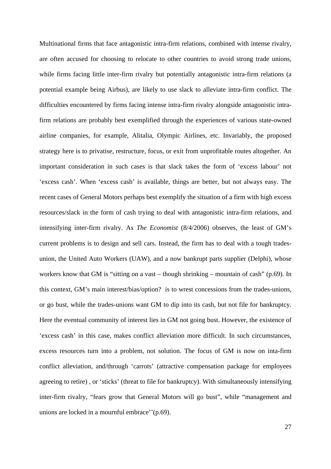Multinational firms that face antagonistic intra-firm relations, combined with intense rivalry, are often accused for choosing to relocate to other countries to avoid strong trade unions, while firms facing little inter-firm rivalry but potentially antagonistic intra-firm relations (a potential example being Airbus), are likely to use slack to alleviate intra-firm conflict. The difficulties encountered by firms facing intense intra-firm rivalry alongside antagonistic intrafirm relations are probably best exemplified through the experiences of various state-owned airline companies, for example, Alitalia, Olympic Airlines, etc. Invariably, the proposed strategy here is to privatise, restructure, focus, or exit from unprofitable routes altogether. An important consideration in such cases is that slack takes the form of 'excess labour' not 'excess cash'. When 'excess cash' is available, things are better, but not always easy. The recent cases of General Motors perhaps best exemplify the situation of a firm with high excess resources/slack in the form of cash trying to deal with antagonistic intra-firm relations, and intensifying inter-firm rivalry. As *The Economist* (8/4/2006) observes, the least of GM's current problems is to design and sell cars. Instead, the firm has to deal with a tough tradesunion, the United Auto Workers (UAW), and a now bankrupt parts supplier (Delphi), whose workers know that GM is "sitting on a vast – though shrinking – mountain of cash" (p.69). In this context, GM's main interest/bias/option? is to wrest concessions from the trades-unions, or go bust, while the trades-unions want GM to dip into its cash, but not file for bankruptcy. Here the eventual community of interest lies in GM not going bust. However, the existence of 'excess cash' in this case, makes conflict alleviation more difficult. In such circumstances, excess resources turn into a problem, not solution. The focus of GM is now on inta-firm conflict alleviation, and/through 'carrots' (attractive compensation package for employees agreeing to retire) , or 'sticks' (threat to file for bankruptcy). With simultaneously intensifying inter-firm rivalry, "fears grow that General Motors will go bust", while "management and unions are locked in a mournful embrace''(p.69).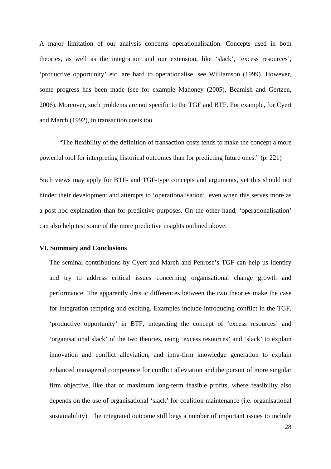A major limitation of our analysis concerns operationalisation. Concepts used in both theories, as well as the integration and our extension, like 'slack', 'excess resources', 'productive opportunity' etc. are hard to operationalise, see Williamson (1999). However, some progress has been made (see for example Mahoney (2005), Beamish and Gertzen, 2006). Moreover, such problems are not specific to the TGF and BTF. For example, for Cyert and March (1992), in transaction costs too

 "The flexibility of the definition of transaction costs tends to make the concept a more powerful tool for interpreting historical outcomes than for predicting future ones." (p. 221)

Such views may apply for BTF- and TGF-type concepts and arguments, yet this should not hinder their development and attempts to 'operationalisation', even when this serves more as a post-hoc explanation than for predictive purposes. On the other hand, 'operationalisation' can also help test some of the more predictive insights outlined above.

#### **VI. Summary and Conclusions**

The seminal contributions by Cyert and March and Penrose's TGF can help us identify and try to address critical issues concerning organisational change growth and performance. The apparently drastic differences between the two theories make the case for integration tempting and exciting. Examples include introducing conflict in the TGF, 'productive opportunity' in BTF, integrating the concept of 'excess resources' and 'organisational slack' of the two theories, using 'excess resources' and 'slack' to explain innovation and conflict alleviation, and intra-firm knowledge generation to explain enhanced managerial competence for conflict alleviation and the pursuit of more singular firm objective, like that of maximum long-term feasible profits, where feasibility also depends on the use of organisational 'slack' for coalition maintenance (i.e. organisational sustainability). The integrated outcome still begs a number of important issues to include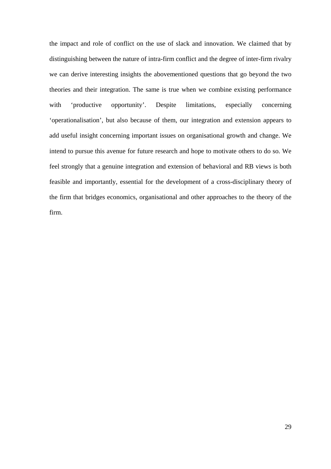the impact and role of conflict on the use of slack and innovation. We claimed that by distinguishing between the nature of intra-firm conflict and the degree of inter-firm rivalry we can derive interesting insights the abovementioned questions that go beyond the two theories and their integration. The same is true when we combine existing performance with 'productive opportunity'. Despite limitations, especially concerning 'operationalisation', but also because of them, our integration and extension appears to add useful insight concerning important issues on organisational growth and change. We intend to pursue this avenue for future research and hope to motivate others to do so. We feel strongly that a genuine integration and extension of behavioral and RB views is both feasible and importantly, essential for the development of a cross-disciplinary theory of the firm that bridges economics, organisational and other approaches to the theory of the firm.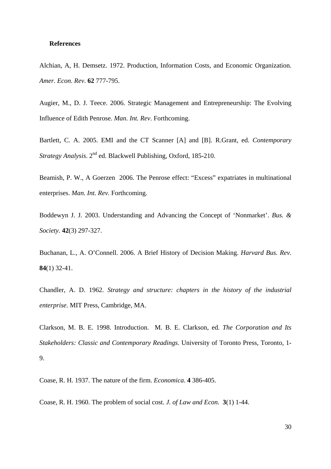#### **References**

Alchian, A, H. Demsetz. 1972. Production, Information Costs, and Economic Organization. *Amer. Econ. Rev*. **62** 777-795.

Augier, M., D. J. Teece. 2006. Strategic Management and Entrepreneurship: The Evolving Influence of Edith Penrose. *Man. Int. Rev*. Forthcoming.

Bartlett, C. A. 2005. EMI and the CT Scanner [A] and [B]. R.Grant, ed. *Contemporary Strategy Analysis*. 2nd ed. Blackwell Publishing, Oxford, 185-210.

Beamish, P. W., A Goerzen 2006. The Penrose effect: "Excess" expatriates in multinational enterprises. *Man. Int. Rev.* Forthcoming*.*

Boddewyn J. J. 2003. Understanding and Advancing the Concept of 'Nonmarket'. *Bus. & Society*. **42**(3) 297-327.

Buchanan, L., A. O'Connell. 2006. A Brief History of Decision Making. *Harvard Bus. Rev.* **84**(1) 32-41.

Chandler, A. D. 1962. *Strategy and structure: chapters in the history of the industrial enterprise*. MIT Press, Cambridge, MA.

Clarkson, M. B. E. 1998. Introduction. M. B. E. Clarkson, ed. *The Corporation and Its Stakeholders: Classic and Contemporary Readings*. University of Toronto Press, Toronto, 1- 9.

Coase, R. H. 1937. The nature of the firm. *Economica*. **4** 386-405.

Coase, R. H. 1960. The problem of social cost. *J. of Law and Econ.* **3**(1) 1-44.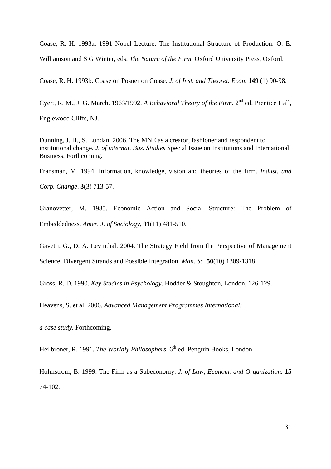Coase, R. H. 1993a. 1991 Nobel Lecture: The Institutional Structure of Production. O. E. Williamson and S G Winter, eds. *The Nature of the Firm*. Oxford University Press, Oxford.

Coase, R. H. 1993b. Coase on Posner on Coase. *J. of Inst. and Theoret. Econ.* **149** (1) 90-98.

Cyert, R. M., J. G. March. 1963/1992. *A Behavioral Theory of the Firm*. 2nd ed. Prentice Hall, Englewood Cliffs, NJ.

Dunning, J. H., S. Lundan. 2006. The MNE as a creator, fashioner and respondent to institutional change. *J. of internat. Bus. Studies* Special Issue on Institutions and International Business. Forthcoming.

Fransman, M. 1994. Information, knowledge, vision and theories of the firm. *Indust. and Corp. Change*. **3**(3) 713-57.

Granovetter, M. 1985. Economic Action and Social Structure: The Problem of Embeddedness. *Amer. J. of Sociology*, **91**(11) 481-510.

Gavetti, G., D. A. Levinthal. 2004. The Strategy Field from the Perspective of Management Science: Divergent Strands and Possible Integration. *Man. Sc.* **50**(10) 1309-1318.

Gross, R. D. 1990. *Key Studies in Psychology*. Hodder & Stoughton, London, 126-129.

Heavens, S. et al. 2006. *Advanced Management Programmes International:* 

*a case study.* Forthcoming.

Heilbroner, R. 1991. *The Worldly Philosophers*. 6<sup>th</sup> ed. Penguin Books, London.

Holmstrom, B. 1999. The Firm as a Subeconomy. *J. of Law, Econom. and Organization.* **15** 74-102.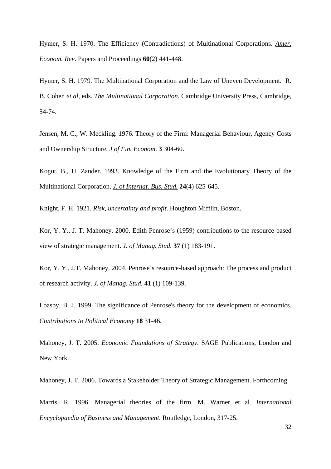Hymer, S. H. 1970. The Efficiency (Contradictions) of Multinational Corporations. *Amer. Econom. Rev*. Papers and Proceedings **60**(2) 441-448.

Hymer, S. H. 1979. The Multinational Corporation and the Law of Uneven Development. R. B. Cohen *et al*, eds. *The Multinational Corporation.* Cambridge University Press, Cambridge, 54-74.

Jensen, M. C., W. Meckling. 1976. Theory of the Firm: Managerial Behaviour, Agency Costs and Ownership Structure. *J of Fin. Econom*. **3** 304-60.

Kogut, B., U. Zander. 1993. Knowledge of the Firm and the Evolutionary Theory of the Multinational Corporation. *J. of Internat. Bus. Stud.* **24**(4) 625-645.

Knight, F. H. 1921. *Risk, uncertainty and profit*. Houghton Mifflin, Boston.

Kor, Y. Y., J. T. Mahoney. 2000. Edith Penrose's (1959) contributions to the resource-based view of strategic management. *J. of Manag. Stud.* **37** (1) 183-191.

Kor, Y. Y., J.T. Mahoney. 2004. Penrose's resource-based approach: The process and product of research activity. *J. of Manag. Stud.* **41** (1) 109-139.

Loasby, B. J. 1999. The significance of Penrose's theory for the development of economics. *Contributions to Political Economy* **18** 31-46.

Mahoney, J. T. 2005. *Economic Foundations of Strategy*. SAGE Publications, London and New York.

Mahoney, J. T. 2006. Towards a Stakeholder Theory of Strategic Management. Forthcoming.

Marris, R. 1996. Managerial theories of the firm. M. Warner et al. *International Encyclopaedia of Business and Management*. Routledge, London, 317-25.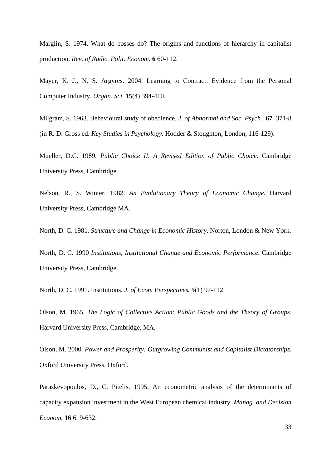Marglin, S. 1974. What do bosses do? The origins and functions of hierarchy in capitalist production. *Rev. of Radic. Polit. Econom.* **6** 60-112.

Mayer, K. J., N. S. Argyres. 2004. Learning to Contract: Evidence from the Personal Computer Industry. *Organ. Sci.* **15**(4) 394-410.

Milgram, S. 1963. Behavioural study of obedience. *J. of Abnormal and Soc. Psych.* **67** 371-8 (in R. D. Gross ed. *Key Studies in Psychology.* Hodder & Stoughton, London, 116-129).

Mueller, D.C. 1989. *Public Choice II. A Revised Edition of Public Choice.* Cambridge University Press, Cambridge.

Nelson, R., S. Winter. 1982. *An Evolutionary Theory of Economic Change.* Harvard University Press, Cambridge MA.

North, D. C. 1981. *Structure and Change in Economic History*. Norton, London & New York.

North, D. C. 1990 *Institutions, Institutional Change and Economic Performance*. Cambridge University Press, Cambridge.

North, D. C. 1991. Institutions. *J. of Econ. Perspectives.* **5**(1) 97-112.

Olson, M. 1965. *The Logic of Collective Action: Public Goods and the Theory of Groups.*  Harvard University Press, Cambridge, MA.

Olson, M. 2000. *Power and Prosperity: Outgrowing Communist and Capitalist Dictatorships*. Oxford University Press, Oxford.

Paraskevopoulos, D., C. Pitelis. 1995. An econometric analysis of the determinants of capacity expansion investment in the West European chemical industry. *Manag. and Decision Econom.* **16** 619-632.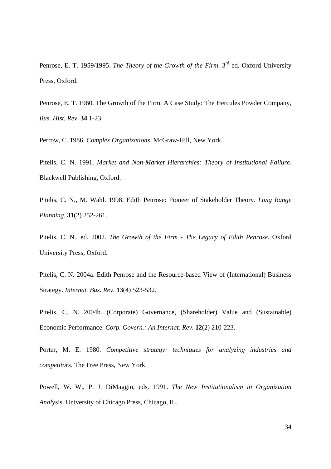Penrose, E. T. 1959/1995. *The Theory of the Growth of the Firm*. 3rd ed. Oxford University Press, Oxford.

Penrose, E. T. 1960. The Growth of the Firm, A Case Study: The Hercules Powder Company, *Bus. Hist. Rev*. **34** 1-23.

Perrow, C. 1986. *Complex Organizations*. McGraw-Hill, New York.

Pitelis, C. N. 1991. *Market and Non-Market Hierarchies: Theory of Institutional Failure*. Blackwell Publishing, Oxford.

Pitelis, C. N., M. Wahl. 1998. Edith Penrose: Pioneer of Stakeholder Theory. *Long Range Planning*. **31**(2) 252-261.

Pitelis, C. N., ed. 2002. *The Growth of the Firm - The Legacy of Edith Penrose.* Oxford University Press, Oxford.

Pitelis, C. N. 2004a. Edith Penrose and the Resource-based View of (International) Business Strategy. *Internat. Bus. Rev.* **13**(4) 523-532.

Pitelis, C. N. 2004b. (Corporate) Governance, (Shareholder) Value and (Sustainable) Economic Performance. *Corp. Govern.: An Internat. Rev.* **12**(2) 210-223.

Porter, M. E. 1980. *Competitive strategy: techniques for analyzing industries and competitors.* The Free Press, New York.

Powell, W. W., P. J. DiMaggio, eds. 1991. *The New Institutionalism in Organization Anal*ysis. University of Chicago Press, Chicago, IL.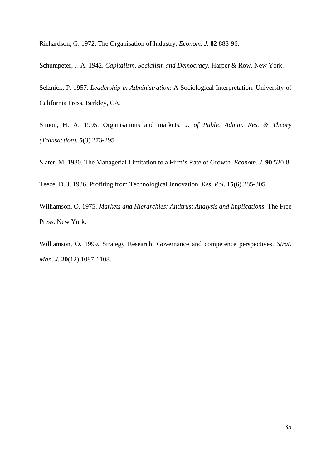Richardson, G. 1972. The Organisation of Industry. *Econom. J.* **82** 883-96.

Schumpeter, J. A. 1942. *Capitalism, Socialism and Democracy*. Harper & Row, New York.

Selznick, P. 1957. *Leadership in Administration*: A Sociological Interpretation. University of California Press, Berkley, CA.

Simon, H. A. 1995. Organisations and markets. *J. of Public Admin. Res. & Theory (Transaction).* **5**(3) 273-295.

Slater, M. 1980. The Managerial Limitation to a Firm's Rate of Growth. *Econom. J.* **90** 520-8.

Teece, D. J. 1986. Profiting from Technological Innovation. *Res. Pol*. **15**(6) 285-305.

Williamson, O. 1975. *Markets and Hierarchies: Antitrust Analysis and Implications*. The Free Press, New York.

Williamson, O. 1999. Strategy Research: Governance and competence perspectives. *Strat. Man. J.* **20**(12) 1087-1108.